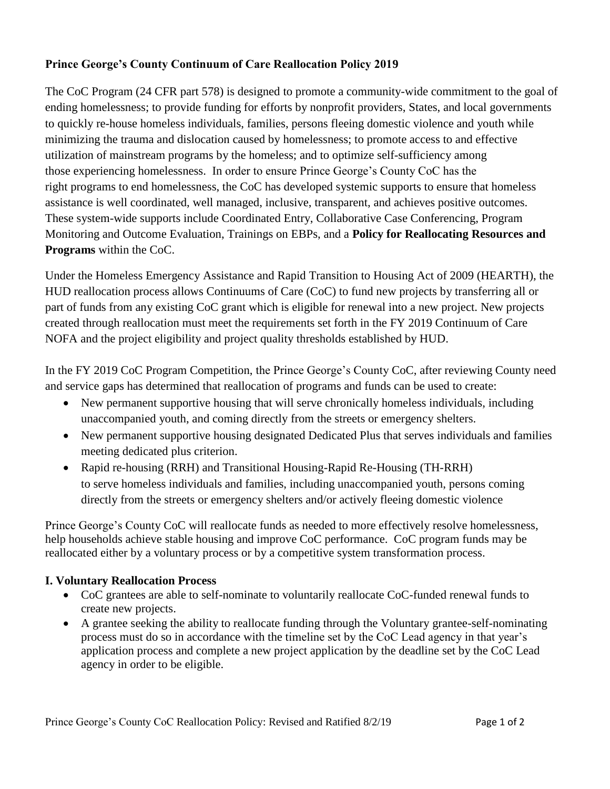## **Prince George's County Continuum of Care Reallocation Policy 2019**

The CoC Program (24 CFR part 578) is designed to promote a community-wide commitment to the goal of ending homelessness; to provide funding for efforts by nonprofit providers, States, and local governments to quickly re-house homeless individuals, families, persons fleeing domestic violence and youth while minimizing the trauma and dislocation caused by homelessness; to promote access to and effective utilization of mainstream programs by the homeless; and to optimize self-sufficiency among those experiencing homelessness. In order to ensure Prince George's County CoC has the right programs to end homelessness, the CoC has developed systemic supports to ensure that homeless assistance is well coordinated, well managed, inclusive, transparent, and achieves positive outcomes. These system-wide supports include Coordinated Entry, Collaborative Case Conferencing, Program Monitoring and Outcome Evaluation, Trainings on EBPs, and a **Policy for Reallocating Resources and Programs** within the CoC.

Under the Homeless Emergency Assistance and Rapid Transition to Housing Act of 2009 (HEARTH), the HUD reallocation process allows Continuums of Care (CoC) to fund new projects by transferring all or part of funds from any existing CoC grant which is eligible for renewal into a new project. New projects created through reallocation must meet the requirements set forth in the FY 2019 Continuum of Care NOFA and the project eligibility and project quality thresholds established by HUD.

In the FY 2019 CoC Program Competition, the Prince George's County CoC, after reviewing County need and service gaps has determined that reallocation of programs and funds can be used to create:

- New permanent supportive housing that will serve chronically homeless individuals, including unaccompanied youth, and coming directly from the streets or emergency shelters.
- New permanent supportive housing designated Dedicated Plus that serves individuals and families meeting dedicated plus criterion.
- Rapid re-housing (RRH) and Transitional Housing-Rapid Re-Housing (TH-RRH) to serve homeless individuals and families, including unaccompanied youth, persons coming directly from the streets or emergency shelters and/or actively fleeing domestic violence

Prince George's County CoC will reallocate funds as needed to more effectively resolve homelessness, help households achieve stable housing and improve CoC performance. CoC program funds may be reallocated either by a voluntary process or by a competitive system transformation process.

## **I. Voluntary Reallocation Process**

- CoC grantees are able to self-nominate to voluntarily reallocate CoC-funded renewal funds to create new projects.
- A grantee seeking the ability to reallocate funding through the Voluntary grantee-self-nominating process must do so in accordance with the timeline set by the CoC Lead agency in that year's application process and complete a new project application by the deadline set by the CoC Lead agency in order to be eligible.